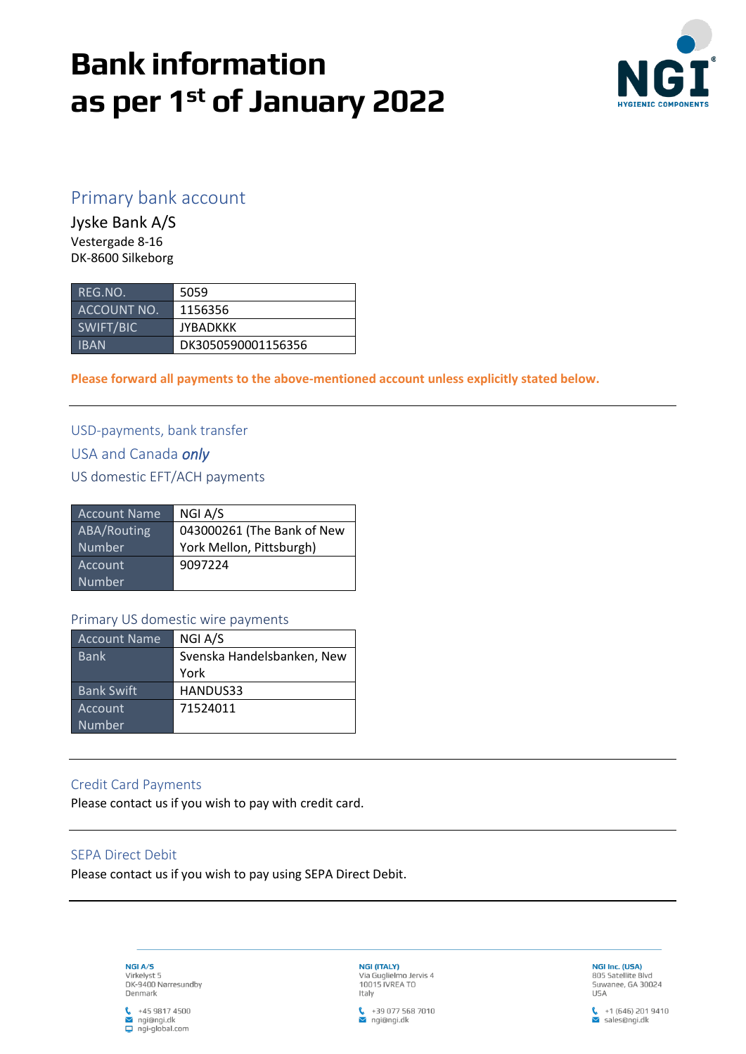# **Bank information as per 1 st of January 2022**



# Primary bank account

Jyske Bank A/S Vestergade 8-16 DK-8600 Silkeborg

| REG.NO.     | 5059               |
|-------------|--------------------|
| ACCOUNT NO. | 1156356            |
| SWIFT/BIC   | <b>JYBADKKK</b>    |
| <b>IBAN</b> | DK3050590001156356 |

**Please forward all payments to the above-mentioned account unless explicitly stated below.**

USD-payments, bank transfer USA and Canada *only*

US domestic EFT/ACH payments

| <b>Account Name</b> | NGI A/S                    |
|---------------------|----------------------------|
| ABA/Routing         | 043000261 (The Bank of New |
| Number              | York Mellon, Pittsburgh)   |
| Account             | 9097224                    |
| Number              |                            |

#### Primary US domestic wire payments

| <b>Account Name</b> | NGI A/S                    |
|---------------------|----------------------------|
| <b>Bank</b>         | Svenska Handelsbanken, New |
|                     | York                       |
| <b>Bank Swift</b>   | HANDUS33                   |
| Account             | 71524011                   |
| Number              |                            |

### Credit Card Payments

Please contact us if you wish to pay with credit card.

## SEPA Direct Debit

Please contact us if you wish to pay using SEPA Direct Debit.



 $\binom{1}{1}$  +45 9817 4500  $\sim$  ngi@ngi.dk  $\Box$  ngi-global.com

NGI (ITALY) Via Guglielmo Jervis 4<br>10015 IVREA TO Italy



NGI Inc. (USA) 805 Satellite Blvd<br>Suwanee, GA 30024 **USA** 

 $\frac{1}{2}$  +1 (646) 201 9410<br>Sales@ngi.dk